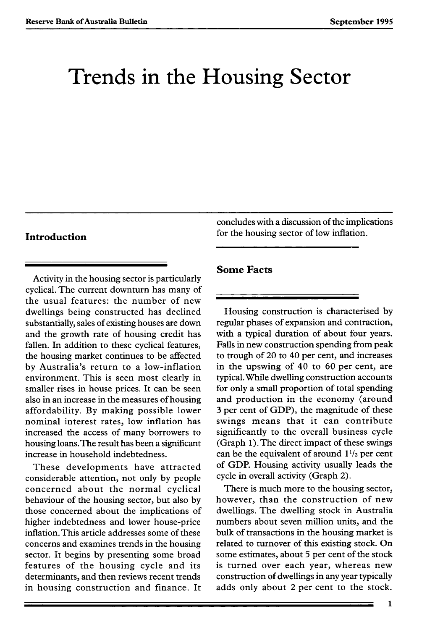# Trends in the Housing Sector

Activity in the housing sector is particularly cyclical. The current downturn has many of the usual features: the number of new dwellings being constructed has declined substantially, sales of existing houses are down and the growth rate of housing credit has fallen. In addition to these cyclical features, the housing market continues to be affected by Australia's return to a low-inflation environment. This is seen most clearly in smaller rises in house prices. It can be seen also in an increase in the measures of housing affordability. By making possible lower nominal interest rates, low inflation has increased the access of many borrowers to housing loans.The result has been a significant increase in household indebtedness.

These developments have attracted considerable attention, not only by people concerned about the normal cyclical behaviour of the housing sector, but also by those concerned about the implications of higher indebtedness and lower house-price inflation. This article addresses some of these concerns and examines trends in the housing sector. It begins by presenting some broad features of the housing cycle and its determinants, and then reviews recent trends in housing construction and finance. It

concludes with a discussion of the implications **Introduction for the housing sector of low inflation.** 

### **Some Facts**

Housing construction is characterised by regular phases of expansion and contraction, with a typical duration of about four years. Falls in new construction spending from peak to trough of 20 to 40 per cent, and increases in the upswing of 40 to 60 per cent, are typical.While dwelling construction accounts for only a small proportion of total spending and production in the economy (around 3 per cent of GDP), the magnitude of these swings means that it can contribute significantly to the overall business cycle (Graph 1). The direct impact of these swings can be the equivalent of around  $1^{1/2}$  per cent of GDP. Housing activity usually leads the cycle in overall activity (Graph 2).

There is much more to the housing sector, however, than the construction of new dwellings. The dwelling stock in Australia numbers about seven million units, and the bulk of transactions in the housing market is related to turnover of this existing stock. On some estimates, about 5 per cent of the stock is turned over each year, whereas new construction of dwellings in any year typically adds only about 2 per cent to the stock.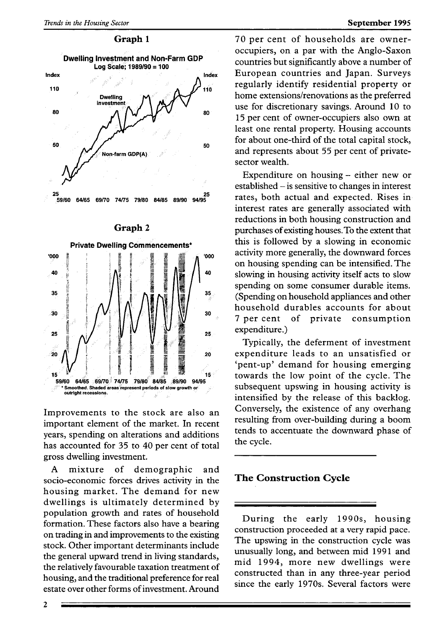

### **Graph** 2



Improvements to the stock are also an important element of the market. In recent years, spending on alterations and additions has accounted for 35 to 40 per cent of total gross dwelling investment.

A mixture of demographic and socio-economic forces drives activity in the housing market. The demand for new dwellings is ultimately determined by population growth and rates of household formation. These factors also have a bearing on trading in and improvements to the existing stock. Other important determinants include the general upward trend in living standards, the relatively favourable taxation treatment of housing, and the traditional preference for real estate over other forms of investment. Around

70 per cent of households are owneroccupiers, on a par with the Anglo-Saxon countries but significantly above a number of European countries and Japan. Surveys regularly identify residential property or home extensions/renovations as the preferred use for discretionary savings. Around 10 to 15 per cent of owner-occupiers also own at least one rental property. Housing accounts for about one-third of the total capital stock, and represents about 55 per cent of privatesector wealth.

Expenditure on housing - either new or established - is sensitive to changes in interest rates, both actual and expected. Rises in interest rates are generally associated with reductions in both housing construction and purchases of existing houses.To the extent that this is followed by a slowing in economic activity more generally, the downward forces on housing spending can be intensified. The slowing in housing activity itself acts to slow spending on some consumer durable items. (Spending on household appliances and other household durables accounts for about 7 per cent of private consumption expenditure.)

Typically, the deferment of investment expenditure leads to an unsatisfied or 'pent-up' demand for housing emerging towards the low point of the cycle. The subsequent upswing in housing activity is intensified by the release of this backlog. Conversely, the existence of any overhang resulting from over-building during a boom tends to accentuate the downward phase of the cycle.

# **The Construction Cycle**

During the early 1990s, housing construction proceeded at a very rapid pace. The upswing in the construction cycle was unusually long, and between mid 1991 and mid 1994, more new dwellings were constructed than in any three-year period since the early 1970s. Several factors were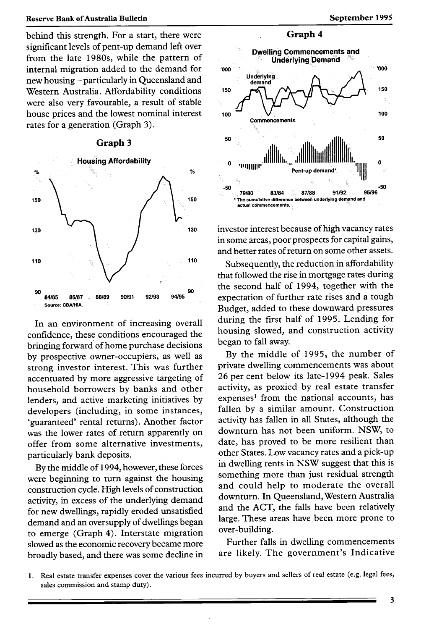behind this strength. For a start, there were significant levels of pent-up demand left over from the late 1980s, while the pattern of internal migration added to the demand for new housing - particularly in Queensland and Western Australia. Affordability conditions were also very favourable, a result of stable house prices and the lowest nominal interest rates for a generation (Graph 3).





In an environment of increasing overall confidence, these conditions encouraged the bringing forward of home purchase decisions by prospective owner-occupiers, as well as strong investor interest. This was further accentuated by more aggressive targeting of household borrowers by banks and other lenders, and active marketing initiatives by developers (including, in some instances, 'guaranteed' rental returns). Another factor was the lower rates of return apparently on offer from some alternative investments, particularly bank deposits.

By the middle of 1994, however, these forces were beginning to turn against the housing construction cycle. High levels of construction activity, in excess of the underlying demand for new dwellings, rapidly eroded unsatisfied demand and an oversupply of dwellings began to emerge (Graph 4). Interstate migration slowed as the economic recovery became more broadly based, and there was some decline in



investor interest because of high vacancy rates in some areas, poor prospects for capital gains, and better rates of return on some other assets.

Subsequently, the reduction in affordability that followed the rise in mortgage rates during the second half of 1994, together with the expectation of further rate rises and a tough Budget, added to these downward pressures during the first half of 1995. Lending for housing slowed, and construction activity began to fall away.

By the middle of 1995, the number of private dwelling commencements was about 26 per cent below its late-1994 peak. Sales activity, as proxied by real estate transfer expenses' from the national accounts, has fallen by a similar amount. Construction activity has fallen in all States, although the downturn has not been uniform. NSW, to date, has proved to be more resilient than other States. Low vacancy rates and a pick-up in dwelling rents in NSW suggest that this is something more than just residual strength and could help to moderate the overall downturn. In Queensland, Western Australia and the ACT, the falls have been relatively large. These areas have been more prone to over-building.

Further falls in dwelling commencements are likely. The government's Indicative

<sup>1.</sup> Real estate transfer expenses cover the various fees incurred by buyers and sellers of real estate (e.g. legal fees, sales commission and stamp duty).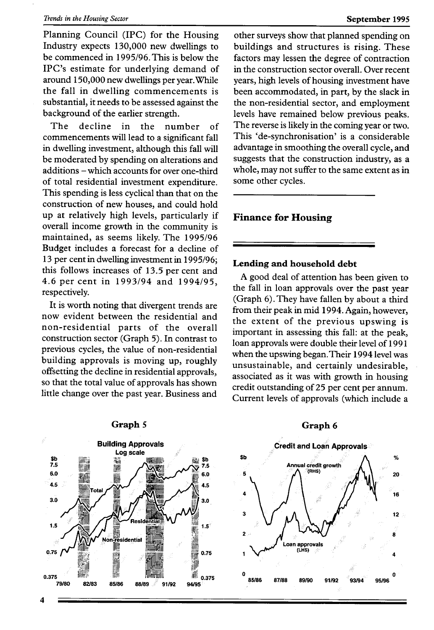#### *Trends in the Housing Sector* **September 1995**

Planning Council (IPC) for the Housing Industry expects 130,000 new dwellings to be commenced in 1995/96.This is below the IPC's estimate for underlying demand of around 150,000 new dwellings per year. While the fall in dwelling commencements is substantial, it needs to be assessed against the background of the earlier strength.

The decline in the number of commencements will lead to a significant fall in dwelling investment, although this fall will be moderated by spending on alterations and additions - which accounts for over one-third of total residential investment expenditure. This spending is less cyclical than that on the construction of new houses, and could hold up at relatively high levels, particularly if overall income growth in the community is maintained, as seems likely. The 1995/96 Budget includes a forecast for a decline of 13 per cent in dwelling investment in 1995/96; this follows increases of 13.5 per cent and 4.6 per cent in 1993/94 and 1994/95, respectively.

It is worth noting that divergent trends are now evident between the residential and non-residential parts of the overall construction sector (Graph 5). In contrast to previous cycles, the value of non-residential building approvals is moving up, roughly offsetting the decline in residential approvals, so that the total value of approvals has shown little change over the past year. Business and



#### **Graph** *5*

other surveys show that planned spending on buildings and structures is rising. These factors may lessen the degree of contraction in the construction sector overall. Over recent years, high levels of housing investment have been accommodated, in part, by the slack in the non-residential sector, and employment levels have remained below previous peaks. The reverse is likely in the coming year or two. This 'de-synchronisation' is a considerable advantage in smoothing the overall cycle, and suggests that the construction industry, as a whole, may not suffer to the same extent as in some other cycles.

# **Finance for Housing**

# **Lending and household debt**

A good deal of attention has been given to the fall in loan approvals over the past year (Graph 6). They have fallen by about a third from their peak in mid 1994. Again, however, the extent of the previous upswing is important in assessing this fall: at the peak, loan approvals were double their level of 1991 when the upswing began.Their 1994 level was unsustainable, and certainly undesirable, associated as it was with growth in housing credit outstanding of 25 per cent per annum. Current levels of approvals (which include a

### **Graph 6**

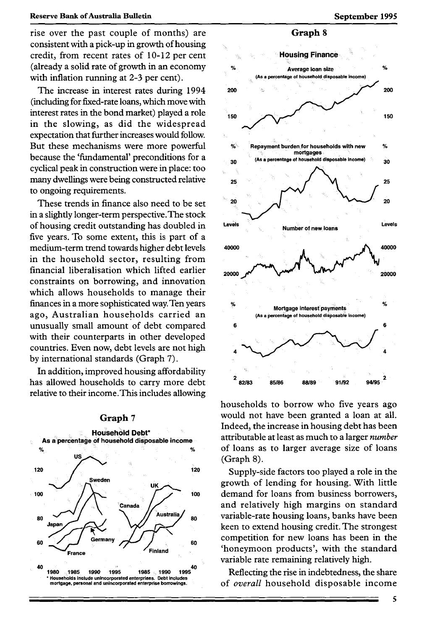rise over the past couple of months) are **Graph** <sup>8</sup> consistent with a pick-up in growth of housing credit, from recent rates of 10-12 per cent **Housing Finance** (already a solid rate of growth in an economy  $\frac{1}{2}$  Average loan size with inflation running at 2-3 per cent). **(As a percentage of household disposable income)** 

(including for fixed-rate loans, which move with interest rates in the bond market) played a role **150** 150 in the slowing, as did the widespread expectation that further increases would follow. But these mechanisms were more powerful  $\frac{1}{2}$  Repayment burden for households with new  $\frac{1}{2}$ because the 'fundamental' preconditions for a  $\frac{1}{30}$ cyclical peak in construction were in place: too many dwellings were being constructed relative **25 <b>25** 25 **26** 25 **26** 25 26 to ongoing requirements.

in a slightly longer-term perspective.The stock of housing credit outstanding has doubled in Levels Number of new loans five years. To some extent, this is part of a in the household sector, resulting from constraints on borrowing, and innovation which allows households to manage their finances in a more sophisticated way. Ten years % ago, Australian households carried an unusually small amount of debt compared 6 with their counterparts in other developed countries. Even now, debt levels are not high <sup>4</sup> by international standards (Graph 7).

In addition, improved housing affordability has allowed households to carry more debt  $\frac{2}{x}$  82/83 relative to their income.This includes allowing





households to borrow who five years ago Graph 7 would not have been granted a loan at all. Indeed, the increase in housing debt has been As a **percentage of household disposable income** attributable at least as much to a larger *number*  of loans as to larger average size of loans

**Example 3** aroust of lending for housing. With little  $\sqrt{\phantom{a}}$  ioo demand for loans from business borrowers,<br>and relatively high margins on standard **Canada** and relatively high margins on standard 80 variable-rate housing loans, banks have been **Japan** keen to extend housing credit. The strongest Germany  $\bigcup \bigcup$  60 competition for new loans has been in the France **1993** Finland **France <b>France France France France France France France France France France France France France France France France France France France France France Fr** variable rate remaining relatively high.

of overall household disposable income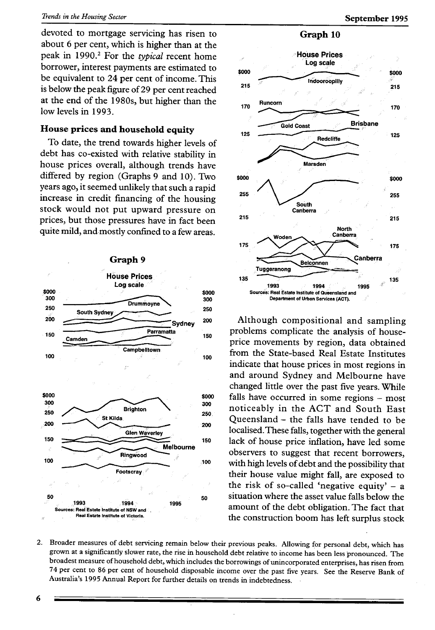devoted to mortgage servicing has risen to about 6 per cent, which is higher than at the peak in 1990.2 For the *typical* recent home borrower, interest payments are estimated to be equivalent to 24 per cent of income. This is below the peak figure of 29 per cent reached at the end of the 1980s, but higher than the low levels in 1993.

## **House prices** and **household** equity

To date, the trend towards higher levels of debt has co-existed with relative stability in house prices overall, although trends have differed by region (Graphs 9 and 10). Two years ago, it seemed unlikely that such a rapid increase in credit financing of the housing stock would not put upward pressure on prices, but those pressures have in fact been quite mild, and-mostly confined to a few areas.



# **Graph 10**



Although compositional and sampling problems complicate the analysis of houseprice movements by region, data obtained from the State-based Real Estate Institutes indicate that house prices in most regions in and around Sydney and Melbourne have changed little over the past five years. While falls have occurred in some regions - most noticeably in the ACT and South East Queensland - the falls have tended to be localised.These falls, together with the general lack of house price inflation, have led some observers to suggest that recent borrowers, with high levels of debt and the possibility that their house value might fall, are exposed to the risk of so-called 'negative equity'  $-$  a situation where the asset value falls below the amount of the debt obligation. The fact that the construction boom has left surplus stock

2. Broader measures of debt servicing remain below their previous peaks. Allowing for personal debt, which has grown at a significantly slower rate, the rise in household debt relative to income has been less pronounced. The broadest measure of household debt, which includes the borrowings of unincorporated enterprises, has risen from 74 per cent to 86 per cent of household disposable income over the past five years. See the Reserve Bank of Australia's 1995 Annual Report for further details on trends in indebtedness. -

6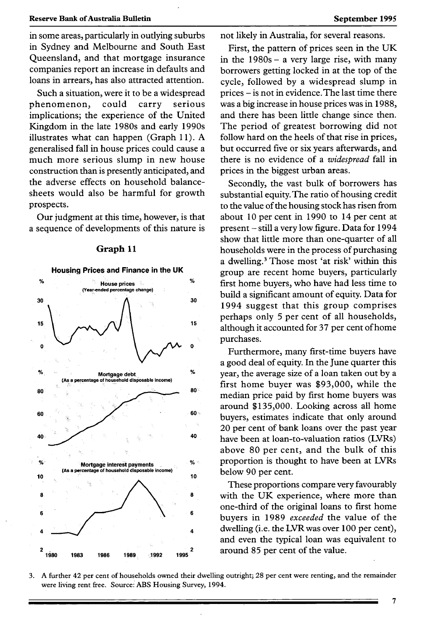in some areas, particularly in outlying suburbs in Sydney and Melbourne and South East Queensland, and that mortgage insurance companies report an increase in defaults and loans in arrears, has also attracted attention.

Such a situation, were it to be a widespread phenomenon, could carry serious implications; the experience of the United Kingdom in the late 1980s and early 1990s illustrates what can happen (Graph 11). A generalised fall in house prices could cause a much more serious slump in new house construction than is presently anticipated, and the adverse effects on household balancesheets would also be harmful for growth prospects.

Our judgment at this time, however, is that a sequence of developments of this nature is



#### **Graph 11**

not likely in Australia, for several reasons.

First, the pattern of prices seen in the UK in the  $1980s - a$  very large rise, with many borrowers getting locked in at the top of the cycle, followed by a widespread slump in prices - is not in evidence.The last time there was a big increase in house prices was in 1988, and there has been little change since then. The period of greatest borrowing did not follow hard on the heels of that rise in prices, but occurred five or six years afterwards, and there is no evidence of a *widespread* fall in prices in the biggest urban areas.

Secondly, the vast bulk of borrowers has substantial equity. The ratio of housing credit to the value of the housing stock has risen from about 10 per cent in 1990 to 14 per cent at present - still a very low figure. Data for 1994 show that little more than one-quarter of all households were in the process of purchasing a dwelling.<sup>3</sup> Those most 'at risk' within this group are recent home buyers, particularly first home buyers, who have had less time to build a significant amount of equity. Data for 1994 suggest that this group comprises perhaps only 5 per cent of all households, although it accounted for 37 per cent of home purchases.

Furthermore, many first-time buyers have a good deal of equity. In the June quarter this year, the average size of a loan taken out by a first home buyer was \$93,000, while the median price paid by first home buyers was around \$135,000. Looking across all home **60**<sup>o</sup> buyers, estimates indicate that only around 20 per cent of bank loans over the past year **<sup>40</sup>**have been at loan-to-valuation ratios (LVRs) above 80 per cent, and the bulk of this proportion is thought to have been at LVRs 10 below 90 per cent.

> These proportions compare very favourably with the UK experience, where more than one-third of the original loans to first home buyers in 1989 *exceeded* the value of the dwelling (i.e. the LVR was over 100 per cent), and even the typical loan was equivalent to around 85 per cent of the value.

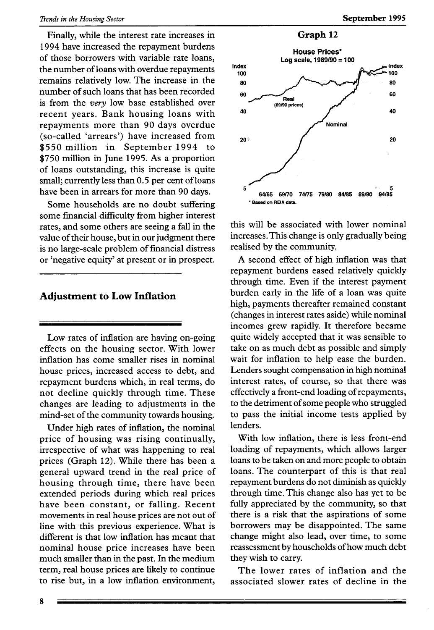#### *Trends in the Housing Sector* **September 1995**

Finally, while the interest rate increases in 1994 have increased the repayment burdens of those borrowers with variable rate loans, the number of loans with overdue repayments remains relatively low. The increase in the number of such loans that has been recorded is from the *very* low base established over recent years. Bank housing loans with repayments more than 90 days overdue (so-called 'arrears') have increased from \$550 million in September 1994 to \$750 million in June 1995. As a proportion of loans outstanding, this increase is quite small; currently less than 0.5 per cent of loans have been in arrears for more than 90 days.

Some households are no doubt suffering some financial difficulty from higher interest rates, and some others are seeing a fall in the value of their house, but in our judgment there is no large-scale problem of financial distress or 'negative equity' at present or in prospect.

#### **Adjustment to Low Inflation**

Low rates of inflation are having on-going effects on the housing sector. With lower inflation has come smaller rises in nominal house prices, increased access to debt, and repayment burdens which, in real terms, do not decline quickly through time. These changes are leading to adjustments in the mind-set of the community towards housing.

Under high rates of inflation, the nominal price of housing was rising continually, irrespective of what was happening to real prices (Graph 12). While there has been a general upward trend in the real price of housing through time, there have been extended periods during which real prices have been constant, or falling. Recent movements in real house prices are not out of line with this previous experience. What is different is that low inflation has meant that nominal house price increases have been much smaller than in the past. In the medium term, real house prices are likely to continue to rise but, in a low inflation environment,



this will be associated with lower nominal increases.This change is only gradually being realised by the community.

A second effect of high inflation was that repayment burdens eased relatively quickly through time. Even if the interest payment burden early in the life of a loan was quite high, payments thereafter remained constant (changes in interest rates aside) while nominal incomes grew rapidly. It therefore became quite widely accepted that it was sensible to take on as much debt as possible and simply wait for inflation to help ease the burden. Lenders sought compensation in high nominal interest rates, of course, so that there was effectively a front-end loading of repayments, to the detriment of some people who struggled to pass the initial income tests applied by lenders.

With low inflation, there is less front-end loading of repayments, which allows larger loans to be taken on and more people to obtain loans. The counterpart of this is that real repayment burdens do not diminish as quickly through time. This change also has yet to be fully appreciated by the community, so that there is a risk that the aspirations of some borrowers may be disappointed. The same change might also lead, over time, to some reassessment by households of how much debt they wish to carry.

The lower rates of inflation and the associated slower rates of decline in the